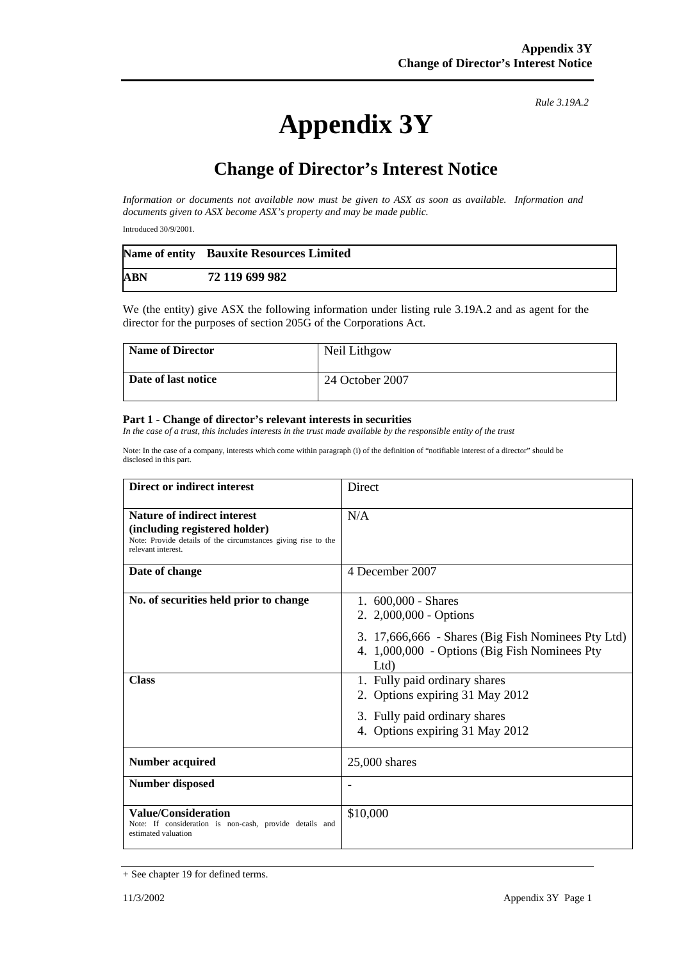## **Appendix 3Y**

*Rule 3.19A.2*

## **Change of Director's Interest Notice**

*Information or documents not available now must be given to ASX as soon as available. Information and documents given to ASX become ASX's property and may be made public.* 

Introduced 30/9/2001.

|            | Name of entity Bauxite Resources Limited |
|------------|------------------------------------------|
| <b>ABN</b> | 72 119 699 982                           |

We (the entity) give ASX the following information under listing rule 3.19A.2 and as agent for the director for the purposes of section 205G of the Corporations Act.

| <b>Name of Director</b> | Neil Lithgow    |
|-------------------------|-----------------|
| Date of last notice     | 24 October 2007 |

## **Part 1 - Change of director's relevant interests in securities**

In the case of a trust, this includes interests in the trust made available by the responsible entity of the trust

Note: In the case of a company, interests which come within paragraph (i) of the definition of "notifiable interest of a director" should be disclosed in this part.

| Direct or indirect interest                                                                                                                                | Direct                                                                                                                                                                                                                                                                                                    |
|------------------------------------------------------------------------------------------------------------------------------------------------------------|-----------------------------------------------------------------------------------------------------------------------------------------------------------------------------------------------------------------------------------------------------------------------------------------------------------|
| <b>Nature of indirect interest</b><br>(including registered holder)<br>Note: Provide details of the circumstances giving rise to the<br>relevant interest. | N/A                                                                                                                                                                                                                                                                                                       |
| Date of change                                                                                                                                             | 4 December 2007                                                                                                                                                                                                                                                                                           |
| No. of securities held prior to change<br><b>Class</b>                                                                                                     | 1. $600,000$ - Shares<br>2. 2,000,000 - Options<br>3. 17,666,666 - Shares (Big Fish Nominees Pty Ltd)<br>4. 1,000,000 - Options (Big Fish Nominees Pty<br>Ltd)<br>Fully paid ordinary shares<br>1.<br>2. Options expiring 31 May 2012<br>3. Fully paid ordinary shares<br>4. Options expiring 31 May 2012 |
| <b>Number acquired</b>                                                                                                                                     | $25,000$ shares                                                                                                                                                                                                                                                                                           |
| <b>Number disposed</b>                                                                                                                                     |                                                                                                                                                                                                                                                                                                           |
| Value/Consideration<br>Note: If consideration is non-cash, provide details and<br>estimated valuation                                                      | \$10,000                                                                                                                                                                                                                                                                                                  |

<sup>+</sup> See chapter 19 for defined terms.